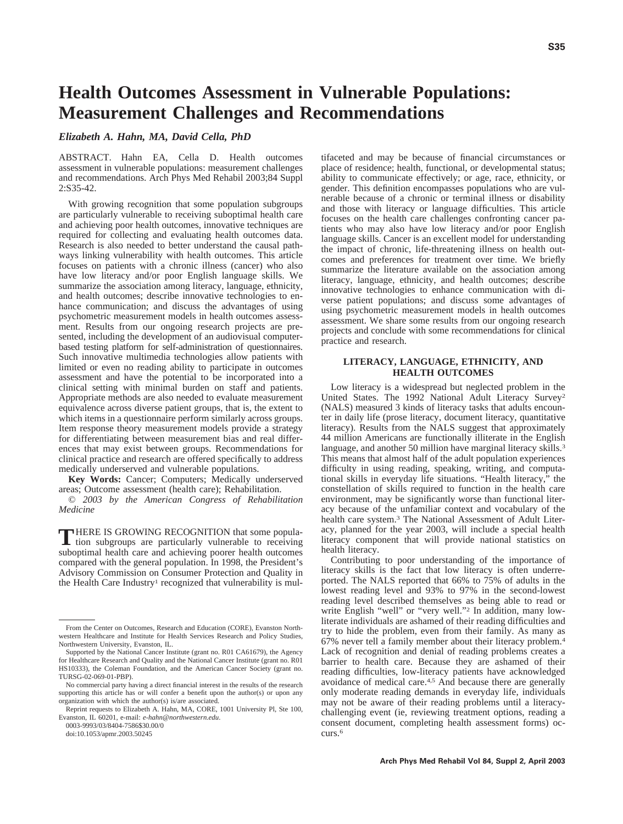# **Health Outcomes Assessment in Vulnerable Populations: Measurement Challenges and Recommendations**

# *Elizabeth A. Hahn, MA, David Cella, PhD*

ABSTRACT. Hahn EA, Cella D. Health outcomes assessment in vulnerable populations: measurement challenges and recommendations. Arch Phys Med Rehabil 2003;84 Suppl 2:S35-42.

With growing recognition that some population subgroups are particularly vulnerable to receiving suboptimal health care and achieving poor health outcomes, innovative techniques are required for collecting and evaluating health outcomes data. Research is also needed to better understand the causal pathways linking vulnerability with health outcomes. This article focuses on patients with a chronic illness (cancer) who also have low literacy and/or poor English language skills. We summarize the association among literacy, language, ethnicity, and health outcomes; describe innovative technologies to enhance communication; and discuss the advantages of using psychometric measurement models in health outcomes assessment. Results from our ongoing research projects are presented, including the development of an audiovisual computerbased testing platform for self-administration of questionnaires. Such innovative multimedia technologies allow patients with limited or even no reading ability to participate in outcomes assessment and have the potential to be incorporated into a clinical setting with minimal burden on staff and patients. Appropriate methods are also needed to evaluate measurement equivalence across diverse patient groups, that is, the extent to which items in a questionnaire perform similarly across groups. Item response theory measurement models provide a strategy for differentiating between measurement bias and real differences that may exist between groups. Recommendations for clinical practice and research are offered specifically to address medically underserved and vulnerable populations.

**Key Words:** Cancer; Computers; Medically underserved areas; Outcome assessment (health care); Rehabilitation.

© *2003 by the American Congress of Rehabilitation Medicine*

THERE IS GROWING RECOGNITION that some population subgroups are particularly vulnerable to receiving suboptimal health care and achieving poorer health outcomes compared with the general population. In 1998, the President's Advisory Commission on Consumer Protection and Quality in the Health Care Industry<sup>1</sup> recognized that vulnerability is mul-

0003-9993/03/8404-7586\$30.00/0

tifaceted and may be because of financial circumstances or place of residence; health, functional, or developmental status; ability to communicate effectively; or age, race, ethnicity, or gender. This definition encompasses populations who are vulnerable because of a chronic or terminal illness or disability and those with literacy or language difficulties. This article focuses on the health care challenges confronting cancer patients who may also have low literacy and/or poor English language skills. Cancer is an excellent model for understanding the impact of chronic, life-threatening illness on health outcomes and preferences for treatment over time. We briefly summarize the literature available on the association among literacy, language, ethnicity, and health outcomes; describe innovative technologies to enhance communication with diverse patient populations; and discuss some advantages of using psychometric measurement models in health outcomes assessment. We share some results from our ongoing research projects and conclude with some recommendations for clinical practice and research.

# **LITERACY, LANGUAGE, ETHNICITY, AND HEALTH OUTCOMES**

Low literacy is a widespread but neglected problem in the United States. The 1992 National Adult Literacy Survey<sup>2</sup> (NALS) measured 3 kinds of literacy tasks that adults encounter in daily life (prose literacy, document literacy, quantitative literacy). Results from the NALS suggest that approximately 44 million Americans are functionally illiterate in the English language, and another 50 million have marginal literacy skills.<sup>3</sup> This means that almost half of the adult population experiences difficulty in using reading, speaking, writing, and computational skills in everyday life situations. "Health literacy," the constellation of skills required to function in the health care environment, may be significantly worse than functional literacy because of the unfamiliar context and vocabulary of the health care system.<sup>3</sup> The National Assessment of Adult Literacy, planned for the year 2003, will include a special health literacy component that will provide national statistics on health literacy.

Contributing to poor understanding of the importance of literacy skills is the fact that low literacy is often underreported. The NALS reported that 66% to 75% of adults in the lowest reading level and 93% to 97% in the second-lowest reading level described themselves as being able to read or write English "well" or "very well."2 In addition, many lowliterate individuals are ashamed of their reading difficulties and try to hide the problem, even from their family. As many as 67% never tell a family member about their literacy problem.4 Lack of recognition and denial of reading problems creates a barrier to health care. Because they are ashamed of their reading difficulties, low-literacy patients have acknowledged avoidance of medical care.4,5 And because there are generally only moderate reading demands in everyday life, individuals may not be aware of their reading problems until a literacychallenging event (ie, reviewing treatment options, reading a consent document, completing health assessment forms) occurs.6

From the Center on Outcomes, Research and Education (CORE), Evanston Northwestern Healthcare and Institute for Health Services Research and Policy Studies, Northwestern University, Evanston, IL.

Supported by the National Cancer Institute (grant no. R01 CA61679), the Agency for Healthcare Research and Quality and the National Cancer Institute (grant no. R01 HS10333), the Coleman Foundation, and the American Cancer Society (grant no. TURSG-02-069-01-PBP).

No commercial party having a direct financial interest in the results of the research supporting this article has or will confer a benefit upon the author(s) or upon any organization with which the author(s) is/are associated.

Reprint requests to Elizabeth A. Hahn, MA, CORE, 1001 University Pl, Ste 100, Evanston, IL 60201, e-mail: *e-hahn@northwestern.edu*.

doi:10.1053/apmr.2003.50245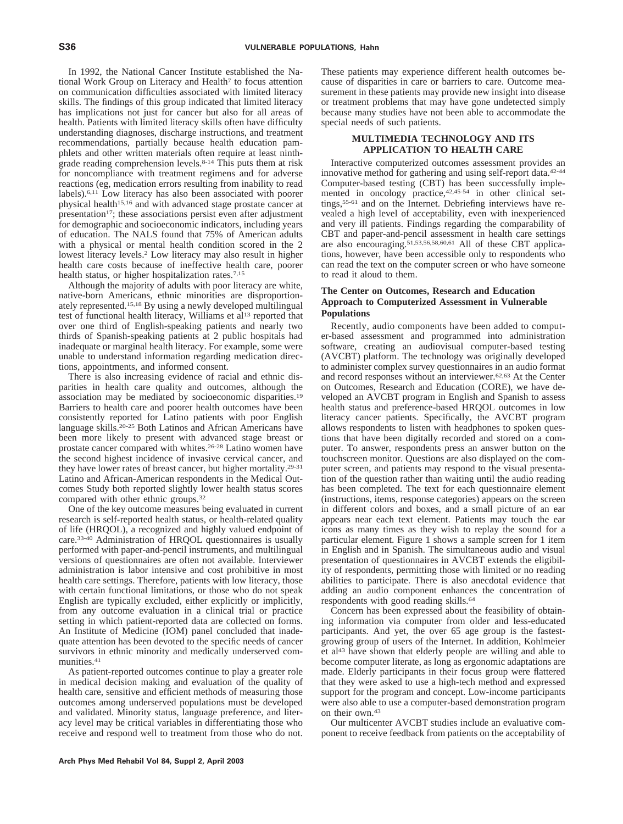In 1992, the National Cancer Institute established the National Work Group on Literacy and Health7 to focus attention on communication difficulties associated with limited literacy skills. The findings of this group indicated that limited literacy has implications not just for cancer but also for all areas of health. Patients with limited literacy skills often have difficulty understanding diagnoses, discharge instructions, and treatment recommendations, partially because health education pamphlets and other written materials often require at least ninthgrade reading comprehension levels.8-14 This puts them at risk for noncompliance with treatment regimens and for adverse reactions (eg, medication errors resulting from inability to read labels).6,11 Low literacy has also been associated with poorer physical health15,16 and with advanced stage prostate cancer at presentation<sup>17</sup>; these associations persist even after adjustment for demographic and socioeconomic indicators, including years of education. The NALS found that 75% of American adults with a physical or mental health condition scored in the 2 lowest literacy levels.2 Low literacy may also result in higher health care costs because of ineffective health care, poorer health status, or higher hospitalization rates.<sup>7,15</sup>

Although the majority of adults with poor literacy are white, native-born Americans, ethnic minorities are disproportionately represented.15,18 By using a newly developed multilingual test of functional health literacy, Williams et al<sup>13</sup> reported that over one third of English-speaking patients and nearly two thirds of Spanish-speaking patients at 2 public hospitals had inadequate or marginal health literacy. For example, some were unable to understand information regarding medication directions, appointments, and informed consent.

There is also increasing evidence of racial and ethnic disparities in health care quality and outcomes, although the association may be mediated by socioeconomic disparities.19 Barriers to health care and poorer health outcomes have been consistently reported for Latino patients with poor English language skills.20-25 Both Latinos and African Americans have been more likely to present with advanced stage breast or prostate cancer compared with whites.26-28 Latino women have the second highest incidence of invasive cervical cancer, and they have lower rates of breast cancer, but higher mortality.29-31 Latino and African-American respondents in the Medical Outcomes Study both reported slightly lower health status scores compared with other ethnic groups.32

One of the key outcome measures being evaluated in current research is self-reported health status, or health-related quality of life (HRQOL), a recognized and highly valued endpoint of care.33-40 Administration of HRQOL questionnaires is usually performed with paper-and-pencil instruments, and multilingual versions of questionnaires are often not available. Interviewer administration is labor intensive and cost prohibitive in most health care settings. Therefore, patients with low literacy, those with certain functional limitations, or those who do not speak English are typically excluded, either explicitly or implicitly, from any outcome evaluation in a clinical trial or practice setting in which patient-reported data are collected on forms. An Institute of Medicine (IOM) panel concluded that inadequate attention has been devoted to the specific needs of cancer survivors in ethnic minority and medically underserved communities.41

As patient-reported outcomes continue to play a greater role in medical decision making and evaluation of the quality of health care, sensitive and efficient methods of measuring those outcomes among underserved populations must be developed and validated. Minority status, language preference, and literacy level may be critical variables in differentiating those who receive and respond well to treatment from those who do not.

These patients may experience different health outcomes because of disparities in care or barriers to care. Outcome measurement in these patients may provide new insight into disease or treatment problems that may have gone undetected simply because many studies have not been able to accommodate the special needs of such patients.

## **MULTIMEDIA TECHNOLOGY AND ITS APPLICATION TO HEALTH CARE**

Interactive computerized outcomes assessment provides an innovative method for gathering and using self-report data.42-44 Computer-based testing (CBT) has been successfully implemented in oncology practice,<sup>42,45-54</sup> in other clinical settings,55-61 and on the Internet. Debriefing interviews have revealed a high level of acceptability, even with inexperienced and very ill patients. Findings regarding the comparability of CBT and paper-and-pencil assessment in health care settings are also encouraging.51,53,56,58,60,61 All of these CBT applications, however, have been accessible only to respondents who can read the text on the computer screen or who have someone to read it aloud to them.

# **The Center on Outcomes, Research and Education Approach to Computerized Assessment in Vulnerable Populations**

Recently, audio components have been added to computer-based assessment and programmed into administration software, creating an audiovisual computer-based testing (AVCBT) platform. The technology was originally developed to administer complex survey questionnaires in an audio format and record responses without an interviewer.62,63 At the Center on Outcomes, Research and Education (CORE), we have developed an AVCBT program in English and Spanish to assess health status and preference-based HRQOL outcomes in low literacy cancer patients. Specifically, the AVCBT program allows respondents to listen with headphones to spoken questions that have been digitally recorded and stored on a computer. To answer, respondents press an answer button on the touchscreen monitor. Questions are also displayed on the computer screen, and patients may respond to the visual presentation of the question rather than waiting until the audio reading has been completed. The text for each questionnaire element (instructions, items, response categories) appears on the screen in different colors and boxes, and a small picture of an ear appears near each text element. Patients may touch the ear icons as many times as they wish to replay the sound for a particular element. Figure 1 shows a sample screen for 1 item in English and in Spanish. The simultaneous audio and visual presentation of questionnaires in AVCBT extends the eligibility of respondents, permitting those with limited or no reading abilities to participate. There is also anecdotal evidence that adding an audio component enhances the concentration of respondents with good reading skills.<sup>64</sup>

Concern has been expressed about the feasibility of obtaining information via computer from older and less-educated participants. And yet, the over 65 age group is the fastestgrowing group of users of the Internet. In addition, Kohlmeier et al43 have shown that elderly people are willing and able to become computer literate, as long as ergonomic adaptations are made. Elderly participants in their focus group were flattered that they were asked to use a high-tech method and expressed support for the program and concept. Low-income participants were also able to use a computer-based demonstration program on their own.43

Our multicenter AVCBT studies include an evaluative component to receive feedback from patients on the acceptability of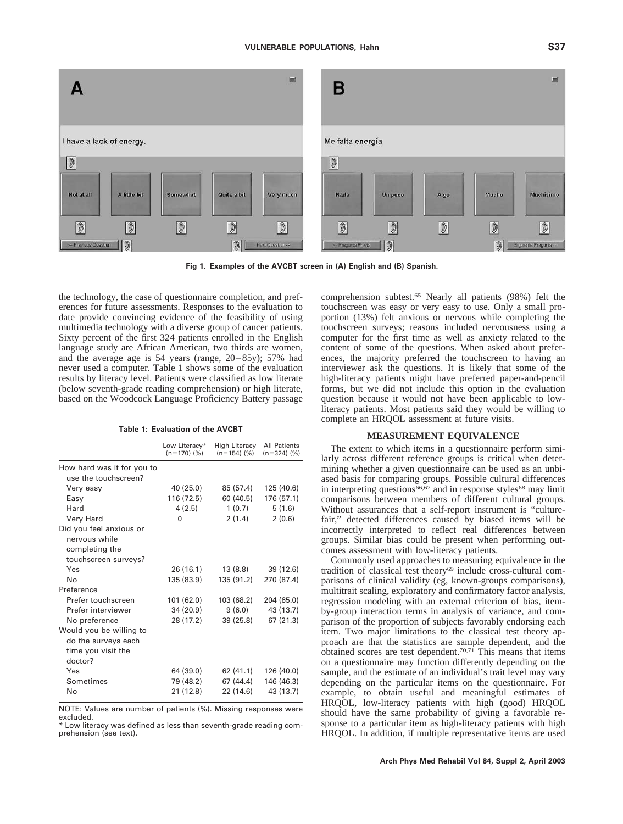

**Fig 1. Examples of the AVCBT screen in (A) English and (B) Spanish.**

the technology, the case of questionnaire completion, and preferences for future assessments. Responses to the evaluation to date provide convincing evidence of the feasibility of using multimedia technology with a diverse group of cancer patients. Sixty percent of the first 324 patients enrolled in the English language study are African American, two thirds are women, and the average age is 54 years (range, 20–85y); 57% had never used a computer. Table 1 shows some of the evaluation results by literacy level. Patients were classified as low literate (below seventh-grade reading comprehension) or high literate, based on the Woodcock Language Proficiency Battery passage

**Table 1: Evaluation of the AVCBT**

|                                                    | Low Literacy*<br>$(n=170)$ (%) | <b>High Literacy</b><br>$(n=154)$ (%) | <b>All Patients</b><br>$(n=324)$ (%) |
|----------------------------------------------------|--------------------------------|---------------------------------------|--------------------------------------|
| How hard was it for you to<br>use the touchscreen? |                                |                                       |                                      |
|                                                    |                                |                                       |                                      |
| Very easy                                          | 40 (25.0)                      | 85 (57.4)                             | 125 (40.6)                           |
| Easy                                               | 116 (72.5)                     | 60 (40.5)                             | 176 (57.1)                           |
| Hard                                               | 4(2.5)                         | 1(0.7)                                | 5(1.6)                               |
| Very Hard                                          | 0                              | 2(1.4)                                | 2(0.6)                               |
| Did you feel anxious or                            |                                |                                       |                                      |
| nervous while                                      |                                |                                       |                                      |
| completing the                                     |                                |                                       |                                      |
| touchscreen surveys?                               |                                |                                       |                                      |
| Yes                                                | 26 (16.1)                      | 13 (8.8)                              | 39 (12.6)                            |
| No                                                 | 135 (83.9)                     | 135 (91.2)                            | 270 (87.4)                           |
| Preference                                         |                                |                                       |                                      |
| Prefer touchscreen                                 | 101 (62.0)                     | 103 (68.2)                            | 204 (65.0)                           |
| Prefer interviewer                                 | 34 (20.9)                      | 9(6.0)                                | 43 (13.7)                            |
| No preference                                      | 28 (17.2)                      | 39 (25.8)                             | 67(21.3)                             |
| Would you be willing to                            |                                |                                       |                                      |
| do the surveys each                                |                                |                                       |                                      |
| time you visit the                                 |                                |                                       |                                      |
| doctor?                                            |                                |                                       |                                      |
|                                                    |                                |                                       |                                      |
| Yes                                                | 64 (39.0)                      | 62(41.1)                              | 126 (40.0)                           |
| Sometimes                                          | 79 (48.2)                      | 67 (44.4)                             | 146 (46.3)                           |
| No                                                 | 21 (12.8)                      | 22 (14.6)                             | 43 (13.7)                            |

NOTE: Values are number of patients (%). Missing responses were excluded.

\* Low literacy was defined as less than seventh-grade reading comprehension (see text).

comprehension subtest.65 Nearly all patients (98%) felt the touchscreen was easy or very easy to use. Only a small proportion (13%) felt anxious or nervous while completing the touchscreen surveys; reasons included nervousness using a computer for the first time as well as anxiety related to the content of some of the questions. When asked about preferences, the majority preferred the touchscreen to having an interviewer ask the questions. It is likely that some of the high-literacy patients might have preferred paper-and-pencil forms, but we did not include this option in the evaluation question because it would not have been applicable to lowliteracy patients. Most patients said they would be willing to complete an HRQOL assessment at future visits.

## **MEASUREMENT EQUIVALENCE**

The extent to which items in a questionnaire perform similarly across different reference groups is critical when determining whether a given questionnaire can be used as an unbiased basis for comparing groups. Possible cultural differences in interpreting questions<sup>66,67</sup> and in response styles<sup>68</sup> may limit comparisons between members of different cultural groups. Without assurances that a self-report instrument is "culturefair," detected differences caused by biased items will be incorrectly interpreted to reflect real differences between groups. Similar bias could be present when performing outcomes assessment with low-literacy patients.

Commonly used approaches to measuring equivalence in the tradition of classical test theory<sup>69</sup> include cross-cultural comparisons of clinical validity (eg, known-groups comparisons), multitrait scaling, exploratory and confirmatory factor analysis, regression modeling with an external criterion of bias, itemby-group interaction terms in analysis of variance, and comparison of the proportion of subjects favorably endorsing each item. Two major limitations to the classical test theory approach are that the statistics are sample dependent, and the obtained scores are test dependent.<sup>70,71</sup> This means that items on a questionnaire may function differently depending on the sample, and the estimate of an individual's trait level may vary depending on the particular items on the questionnaire. For example, to obtain useful and meaningful estimates of HRQOL, low-literacy patients with high (good) HRQOL should have the same probability of giving a favorable response to a particular item as high-literacy patients with high HRQOL. In addition, if multiple representative items are used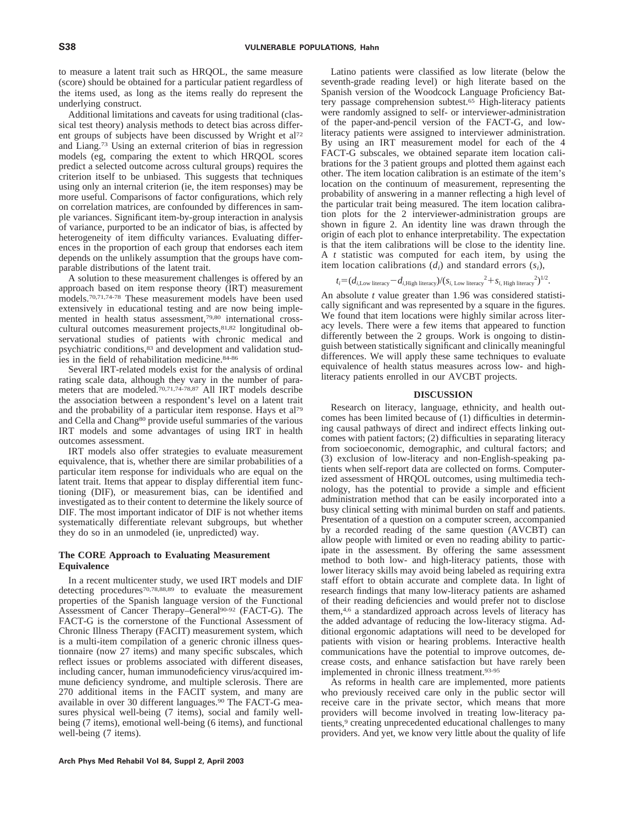to measure a latent trait such as HRQOL, the same measure (score) should be obtained for a particular patient regardless of the items used, as long as the items really do represent the underlying construct.

Additional limitations and caveats for using traditional (classical test theory) analysis methods to detect bias across different groups of subjects have been discussed by Wright et al72 and Liang.73 Using an external criterion of bias in regression models (eg, comparing the extent to which HRQOL scores predict a selected outcome across cultural groups) requires the criterion itself to be unbiased. This suggests that techniques using only an internal criterion (ie, the item responses) may be more useful. Comparisons of factor configurations, which rely on correlation matrices, are confounded by differences in sample variances. Significant item-by-group interaction in analysis of variance, purported to be an indicator of bias, is affected by heterogeneity of item difficulty variances. Evaluating differences in the proportion of each group that endorses each item depends on the unlikely assumption that the groups have comparable distributions of the latent trait.

A solution to these measurement challenges is offered by an approach based on item response theory (IRT) measurement models.70,71,74-78 These measurement models have been used extensively in educational testing and are now being implemented in health status assessment,79,80 international crosscultural outcomes measurement projects,81,82 longitudinal observational studies of patients with chronic medical and psychiatric conditions,83 and development and validation studies in the field of rehabilitation medicine.84-86

Several IRT-related models exist for the analysis of ordinal rating scale data, although they vary in the number of parameters that are modeled.70,71,74-78,87 All IRT models describe the association between a respondent's level on a latent trait and the probability of a particular item response. Hays et al79 and Cella and Chang80 provide useful summaries of the various IRT models and some advantages of using IRT in health outcomes assessment.

IRT models also offer strategies to evaluate measurement equivalence, that is, whether there are similar probabilities of a particular item response for individuals who are equal on the latent trait. Items that appear to display differential item functioning (DIF), or measurement bias, can be identified and investigated as to their content to determine the likely source of DIF. The most important indicator of DIF is not whether items systematically differentiate relevant subgroups, but whether they do so in an unmodeled (ie, unpredicted) way.

## **The CORE Approach to Evaluating Measurement Equivalence**

In a recent multicenter study, we used IRT models and DIF detecting procedures<sup>70,78,88,89</sup> to evaluate the measurement properties of the Spanish language version of the Functional Assessment of Cancer Therapy–General<sup>90-92</sup> (FACT-G). The FACT-G is the cornerstone of the Functional Assessment of Chronic Illness Therapy (FACIT) measurement system, which is a multi-item compilation of a generic chronic illness questionnaire (now 27 items) and many specific subscales, which reflect issues or problems associated with different diseases, including cancer, human immunodeficiency virus/acquired immune deficiency syndrome, and multiple sclerosis. There are 270 additional items in the FACIT system, and many are available in over 30 different languages.90 The FACT-G measures physical well-being (7 items), social and family wellbeing (7 items), emotional well-being (6 items), and functional well-being (7 items).

Latino patients were classified as low literate (below the seventh-grade reading level) or high literate based on the Spanish version of the Woodcock Language Proficiency Battery passage comprehension subtest.<sup>65</sup> High-literacy patients were randomly assigned to self- or interviewer-administration of the paper-and-pencil version of the FACT-G, and lowliteracy patients were assigned to interviewer administration. By using an IRT measurement model for each of the 4 FACT-G subscales, we obtained separate item location calibrations for the 3 patient groups and plotted them against each other. The item location calibration is an estimate of the item's location on the continuum of measurement, representing the probability of answering in a manner reflecting a high level of the particular trait being measured. The item location calibration plots for the 2 interviewer-administration groups are shown in figure 2. An identity line was drawn through the origin of each plot to enhance interpretability. The expectation is that the item calibrations will be close to the identity line. A *t* statistic was computed for each item, by using the item location calibrations  $(d_i)$  and standard errors  $(s_i)$ ,

$$
t_i = (d_{i,\text{Low literary}} - d_{i,\text{High literary}}) / (s_{i,\text{Low literary}}^2 + s_{i,\text{High literary}}^2)^{1/2}.
$$

An absolute *t* value greater than 1.96 was considered statistically significant and was represented by a square in the figures. We found that item locations were highly similar across literacy levels. There were a few items that appeared to function differently between the 2 groups. Work is ongoing to distinguish between statistically significant and clinically meaningful differences. We will apply these same techniques to evaluate equivalence of health status measures across low- and highliteracy patients enrolled in our AVCBT projects.

#### **DISCUSSION**

Research on literacy, language, ethnicity, and health outcomes has been limited because of (1) difficulties in determining causal pathways of direct and indirect effects linking outcomes with patient factors; (2) difficulties in separating literacy from socioeconomic, demographic, and cultural factors; and (3) exclusion of low-literacy and non-English-speaking patients when self-report data are collected on forms. Computerized assessment of HRQOL outcomes, using multimedia technology, has the potential to provide a simple and efficient administration method that can be easily incorporated into a busy clinical setting with minimal burden on staff and patients. Presentation of a question on a computer screen, accompanied by a recorded reading of the same question (AVCBT) can allow people with limited or even no reading ability to participate in the assessment. By offering the same assessment method to both low- and high-literacy patients, those with lower literacy skills may avoid being labeled as requiring extra staff effort to obtain accurate and complete data. In light of research findings that many low-literacy patients are ashamed of their reading deficiencies and would prefer not to disclose them,4,6 a standardized approach across levels of literacy has the added advantage of reducing the low-literacy stigma. Additional ergonomic adaptations will need to be developed for patients with vision or hearing problems. Interactive health communications have the potential to improve outcomes, decrease costs, and enhance satisfaction but have rarely been implemented in chronic illness treatment.93-95

As reforms in health care are implemented, more patients who previously received care only in the public sector will receive care in the private sector, which means that more providers will become involved in treating low-literacy patients,<sup>9</sup> creating unprecedented educational challenges to many providers. And yet, we know very little about the quality of life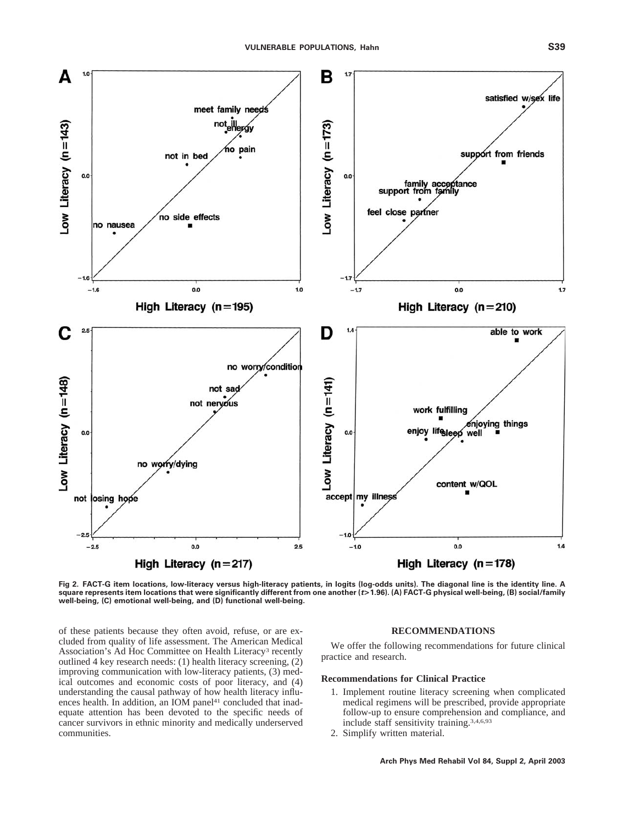

**Fig 2. FACT-G item locations, low-literacy versus high-literacy patients, in logits (log-odds units). The diagonal line is the identity line. A square represents item locations that were significantly different from one another (***t***>1.96). (A) FACT-G physical well-being, (B) social/family well-being, (C) emotional well-being, and (D) functional well-being.**

of these patients because they often avoid, refuse, or are excluded from quality of life assessment. The American Medical Association's Ad Hoc Committee on Health Literacy3 recently outlined 4 key research needs: (1) health literacy screening, (2) improving communication with low-literacy patients, (3) medical outcomes and economic costs of poor literacy, and (4) understanding the causal pathway of how health literacy influences health. In addition, an IOM panel<sup>41</sup> concluded that inadequate attention has been devoted to the specific needs of cancer survivors in ethnic minority and medically underserved communities.

## **RECOMMENDATIONS**

We offer the following recommendations for future clinical practice and research.

# **Recommendations for Clinical Practice**

- 1. Implement routine literacy screening when complicated medical regimens will be prescribed, provide appropriate follow-up to ensure comprehension and compliance, and include staff sensitivity training.3,4,6,93
- 2. Simplify written material.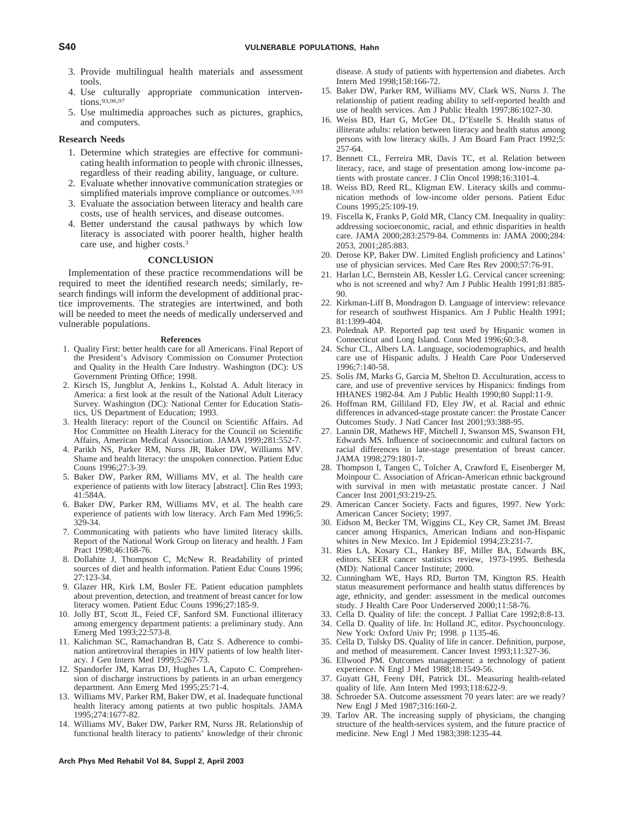- 3. Provide multilingual health materials and assessment tools.
- 4. Use culturally appropriate communication interventions.93,96,97
- 5. Use multimedia approaches such as pictures, graphics, and computers.

### **Research Needs**

- 1. Determine which strategies are effective for communicating health information to people with chronic illnesses, regardless of their reading ability, language, or culture.
- 2. Evaluate whether innovative communication strategies or simplified materials improve compliance or outcomes.<sup>3,93</sup>
- 3. Evaluate the association between literacy and health care costs, use of health services, and disease outcomes.
- 4. Better understand the causal pathways by which low literacy is associated with poorer health, higher health care use, and higher costs.3

## **CONCLUSION**

Implementation of these practice recommendations will be required to meet the identified research needs; similarly, research findings will inform the development of additional practice improvements. The strategies are intertwined, and both will be needed to meet the needs of medically underserved and vulnerable populations.

#### **References**

- 1. Quality First: better health care for all Americans. Final Report of the President's Advisory Commission on Consumer Protection and Quality in the Health Care Industry. Washington (DC): US Government Printing Office; 1998.
- 2. Kirsch IS, Jungblut A, Jenkins L, Kolstad A. Adult literacy in America: a first look at the result of the National Adult Literacy Survey. Washington (DC): National Center for Education Statistics, US Department of Education; 1993.
- 3. Health literacy: report of the Council on Scientific Affairs. Ad Hoc Committee on Health Literacy for the Council on Scientific Affairs, American Medical Association. JAMA 1999;281:552-7.
- 4. Parikh NS, Parker RM, Nurss JR, Baker DW, Williams MV. Shame and health literacy: the unspoken connection. Patient Educ Couns 1996;27:3-39.
- 5. Baker DW, Parker RM, Williams MV, et al. The health care experience of patients with low literacy [abstract]. Clin Res 1993; 41:584A.
- 6. Baker DW, Parker RM, Williams MV, et al. The health care experience of patients with low literacy. Arch Fam Med 1996;5: 329-34.
- 7. Communicating with patients who have limited literacy skills. Report of the National Work Group on literacy and health. J Fam Pract 1998;46:168-76.
- 8. Dollahite J, Thompson C, McNew R. Readability of printed sources of diet and health information. Patient Educ Couns 1996; 27:123-34.
- 9. Glazer HR, Kirk LM, Bosler FE. Patient education pamphlets about prevention, detection, and treatment of breast cancer for low literacy women. Patient Educ Couns 1996;27:185-9.
- 10. Jolly BT, Scott JL, Feied CF, Sanford SM. Functional illiteracy among emergency department patients: a preliminary study. Ann Emerg Med 1993;22:573-8.
- 11. Kalichman SC, Ramachandran B, Catz S. Adherence to combination antiretroviral therapies in HIV patients of low health literacy. J Gen Intern Med 1999;5:267-73.
- 12. Spandorfer JM, Karras DJ, Hughes LA, Caputo C. Comprehension of discharge instructions by patients in an urban emergency department. Ann Emerg Med 1995;25:71-4.
- 13. Williams MV, Parker RM, Baker DW, et al. Inadequate functional health literacy among patients at two public hospitals. JAMA 1995;274:1677-82.
- 14. Williams MV, Baker DW, Parker RM, Nurss JR. Relationship of functional health literacy to patients' knowledge of their chronic

**Arch Phys Med Rehabil Vol 84, Suppl 2, April 2003**

disease. A study of patients with hypertension and diabetes. Arch Intern Med 1998;158:166-72.

- 15. Baker DW, Parker RM, Williams MV, Clark WS, Nurss J. The relationship of patient reading ability to self-reported health and use of health services. Am J Public Health 1997;86:1027-30.
- 16. Weiss BD, Hart G, McGee DL, D'Estelle S. Health status of illiterate adults: relation between literacy and health status among persons with low literacy skills. J Am Board Fam Pract 1992;5: 257-64.
- 17. Bennett CL, Ferreira MR, Davis TC, et al. Relation between literacy, race, and stage of presentation among low-income patients with prostate cancer. J Clin Oncol 1998;16:3101-4.
- 18. Weiss BD, Reed RL, Kligman EW. Literacy skills and communication methods of low-income older persons. Patient Educ Couns 1995;25:109-19.
- 19. Fiscella K, Franks P, Gold MR, Clancy CM. Inequality in quality: addressing socioeconomic, racial, and ethnic disparities in health care. JAMA 2000;283:2579-84. Comments in: JAMA 2000;284: 2053, 2001;285:883.
- 20. Derose KP, Baker DW. Limited English proficiency and Latinos' use of physician services. Med Care Res Rev 2000;57:76-91.
- 21. Harlan LC, Bernstein AB, Kessler LG. Cervical cancer screening: who is not screened and why? Am J Public Health 1991;81:885- 90.
- 22. Kirkman-Liff B, Mondragon D. Language of interview: relevance for research of southwest Hispanics. Am J Public Health 1991; 81:1399-404.
- 23. Polednak AP. Reported pap test used by Hispanic women in Connecticut and Long Island. Conn Med 1996;60:3-8.
- 24. Schur CL, Albers LA. Language, sociodemographics, and health care use of Hispanic adults. J Health Care Poor Underserved 1996;7:140-58.
- 25. Solis JM, Marks G, Garcia M, Shelton D. Acculturation, access to care, and use of preventive services by Hispanics: findings from HHANES 1982-84. Am J Public Health 1990;80 Suppl:11-9.
- 26. Hoffman RM, Gilliland FD, Eley JW, et al. Racial and ethnic differences in advanced-stage prostate cancer: the Prostate Cancer Outcomes Study. J Natl Cancer Inst 2001;93:388-95.
- 27. Lannin DR, Mathews HF, Mitchell J, Swanson MS, Swanson FH, Edwards MS. Influence of socioeconomic and cultural factors on racial differences in late-stage presentation of breast cancer. JAMA 1998;279:1801-7.
- 28. Thompson I, Tangen C, Tolcher A, Crawford E, Eisenberger M, Moinpour C. Association of African-American ethnic background with survival in men with metastatic prostate cancer. J Natl Cancer Inst 2001;93:219-25.
- 29. American Cancer Society. Facts and figures, 1997. New York: American Cancer Society; 1997.
- 30. Eidson M, Becker TM, Wiggins CL, Key CR, Samet JM. Breast cancer among Hispanics, American Indians and non-Hispanic whites in New Mexico. Int J Epidemiol 1994;23:231-7.
- 31. Ries LA, Kosary CL, Hankey BF, Miller BA, Edwards BK, editors. SEER cancer statistics review, 1973-1995. Bethesda (MD): National Cancer Institute; 2000.
- 32. Cunningham WE, Hays RD, Burton TM, Kington RS. Health status measurement performance and health status differences by age, ethnicity, and gender: assessment in the medical outcomes study. J Health Care Poor Underserved 2000;11:58-76.
- 33. Cella D. Quality of life: the concept. J Palliat Care 1992;8:8-13.
- 34. Cella D. Quality of life. In: Holland JC, editor. Psychooncology. New York: Oxford Univ Pr; 1998. p 1135-46.
- 35. Cella D, Tulsky DS. Quality of life in cancer. Definition, purpose, and method of measurement. Cancer Invest 1993;11:327-36.
- 36. Ellwood PM. Outcomes management: a technology of patient experience. N Engl J Med 1988;18:1549-56.
- 37. Guyatt GH, Feeny DH, Patrick DL. Measuring health-related quality of life. Ann Intern Med 1993;118:622-9.
- 38. Schroeder SA. Outcome assessment 70 years later: are we ready? New Engl J Med 1987;316:160-2.
- 39. Tarlov AR. The increasing supply of physicians, the changing structure of the health-services system, and the future practice of medicine. New Engl J Med 1983;398:1235-44.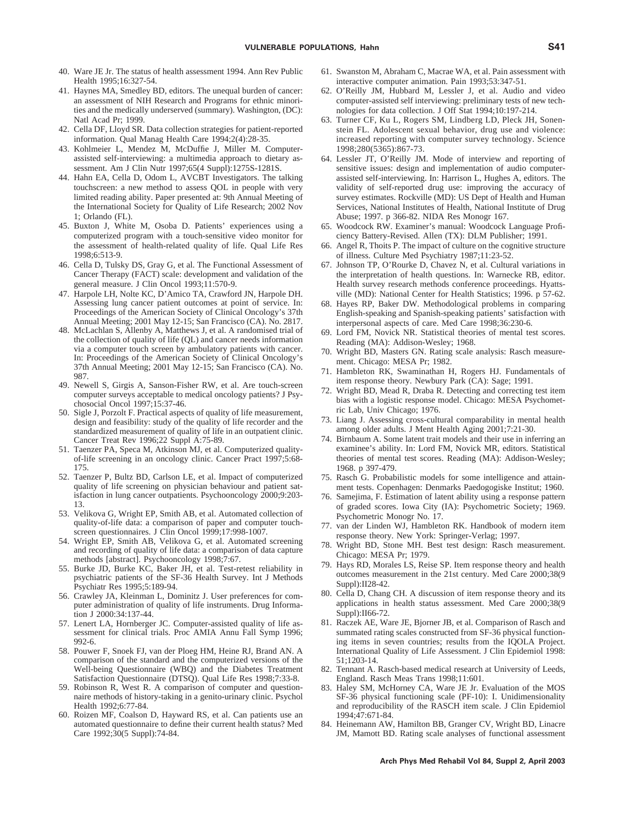- 40. Ware JE Jr. The status of health assessment 1994. Ann Rev Public Health 1995;16:327-54.
- 41. Haynes MA, Smedley BD, editors. The unequal burden of cancer: an assessment of NIH Research and Programs for ethnic minorities and the medically underserved (summary). Washington, (DC): Natl Acad Pr; 1999.
- 42. Cella DF, Lloyd SR. Data collection strategies for patient-reported information. Qual Manag Health Care 1994;2(4):28-35.
- 43. Kohlmeier L, Mendez M, McDuffie J, Miller M. Computerassisted self-interviewing: a multimedia approach to dietary assessment. Am J Clin Nutr 1997;65(4 Suppl):1275S-1281S.
- 44. Hahn EA, Cella D, Odom L, AVCBT Investigators. The talking touchscreen: a new method to assess QOL in people with very limited reading ability. Paper presented at: 9th Annual Meeting of the International Society for Quality of Life Research; 2002 Nov 1; Orlando (FL).
- 45. Buxton J, White M, Osoba D. Patients' experiences using a computerized program with a touch-sensitive video monitor for the assessment of health-related quality of life. Qual Life Res 1998;6:513-9.
- 46. Cella D, Tulsky DS, Gray G, et al. The Functional Assessment of Cancer Therapy (FACT) scale: development and validation of the general measure. J Clin Oncol 1993;11:570-9.
- 47. Harpole LH, Nolte KC, D'Amico TA, Crawford JN, Harpole DH. Assessing lung cancer patient outcomes at point of service. In: Proceedings of the American Society of Clinical Oncology's 37th Annual Meeting; 2001 May 12-15; San Francisco (CA). No. 2817.
- 48. McLachlan S, Allenby A, Matthews J, et al. A randomised trial of the collection of quality of life (QL) and cancer needs information via a computer touch screen by ambulatory patients with cancer. In: Proceedings of the American Society of Clinical Oncology's 37th Annual Meeting; 2001 May 12-15; San Francisco (CA). No. 987.
- 49. Newell S, Girgis A, Sanson-Fisher RW, et al. Are touch-screen computer surveys acceptable to medical oncology patients? J Psychosocial Oncol 1997;15:37-46.
- 50. Sigle J, Porzolt F. Practical aspects of quality of life measurement, design and feasibility: study of the quality of life recorder and the standardized measurement of quality of life in an outpatient clinic. Cancer Treat Rev 1996;22 Suppl A:75-89.
- 51. Taenzer PA, Speca M, Atkinson MJ, et al. Computerized qualityof-life screening in an oncology clinic. Cancer Pract 1997;5:68- 175.
- 52. Taenzer P, Bultz BD, Carlson LE, et al. Impact of computerized quality of life screening on physician behaviour and patient satisfaction in lung cancer outpatients. Psychooncology 2000;9:203- 13.
- 53. Velikova G, Wright EP, Smith AB, et al. Automated collection of quality-of-life data: a comparison of paper and computer touchscreen questionnaires. J Clin Oncol 1999;17:998-1007.
- 54. Wright EP, Smith AB, Velikova G, et al. Automated screening and recording of quality of life data: a comparison of data capture methods [abstract]. Psychooncology 1998;7:67.
- 55. Burke JD, Burke KC, Baker JH, et al. Test-retest reliability in psychiatric patients of the SF-36 Health Survey. Int J Methods Psychiatr Res 1995;5:189-94.
- 56. Crawley JA, Kleinman L, Dominitz J. User preferences for computer administration of quality of life instruments. Drug Information J 2000:34:137-44.
- 57. Lenert LA, Hornberger JC. Computer-assisted quality of life assessment for clinical trials. Proc AMIA Annu Fall Symp 1996; 992-6.
- 58. Pouwer F, Snoek FJ, van der Ploeg HM, Heine RJ, Brand AN. A comparison of the standard and the computerized versions of the Well-being Questionnaire (WBQ) and the Diabetes Treatment Satisfaction Questionnaire (DTSQ). Qual Life Res 1998;7:33-8.
- 59. Robinson R, West R. A comparison of computer and questionnaire methods of history-taking in a genito-urinary clinic. Psychol Health 1992;6:77-84.
- 60. Roizen MF, Coalson D, Hayward RS, et al. Can patients use an automated questionnaire to define their current health status? Med Care 1992;30(5 Suppl):74-84.
- 61. Swanston M, Abraham C, Macrae WA, et al. Pain assessment with interactive computer animation. Pain 1993;53:347-51.
- 62. O'Reilly JM, Hubbard M, Lessler J, et al. Audio and video computer-assisted self interviewing: preliminary tests of new technologies for data collection. J Off Stat 1994;10:197-214.
- 63. Turner CF, Ku L, Rogers SM, Lindberg LD, Pleck JH, Sonenstein FL. Adolescent sexual behavior, drug use and violence: increased reporting with computer survey technology. Science 1998;280(5365):867-73.
- 64. Lessler JT, O'Reilly JM. Mode of interview and reporting of sensitive issues: design and implementation of audio computerassisted self-interviewing. In: Harrison L, Hughes A, editors. The validity of self-reported drug use: improving the accuracy of survey estimates. Rockville (MD): US Dept of Health and Human Services, National Institutes of Health, National Institute of Drug Abuse; 1997. p 366-82. NIDA Res Monogr 167.
- 65. Woodcock RW. Examiner's manual: Woodcock Language Proficiency Battery-Revised. Allen (TX): DLM Publisher; 1991.
- 66. Angel R, Thoits P. The impact of culture on the cognitive structure of illness. Culture Med Psychiatry 1987;11:23-52.
- 67. Johnson TP, O'Rourke D, Chavez N, et al. Cultural variations in the interpretation of health questions. In: Warnecke RB, editor. Health survey research methods conference proceedings. Hyattsville (MD): National Center for Health Statistics; 1996. p 57-62.
- 68. Hayes RP, Baker DW. Methodological problems in comparing English-speaking and Spanish-speaking patients' satisfaction with interpersonal aspects of care. Med Care 1998;36:230-6.
- 69. Lord FM, Novick NR. Statistical theories of mental test scores. Reading (MA): Addison-Wesley; 1968.
- 70. Wright BD, Masters GN. Rating scale analysis: Rasch measurement. Chicago: MESA Pr; 1982.
- 71. Hambleton RK, Swaminathan H, Rogers HJ. Fundamentals of item response theory. Newbury Park (CA): Sage; 1991.
- 72. Wright BD, Mead R, Draba R. Detecting and correcting test item bias with a logistic response model. Chicago: MESA Psychometric Lab, Univ Chicago; 1976.
- 73. Liang J. Assessing cross-cultural comparability in mental health among older adults. J Ment Health Aging 2001;7:21-30.
- 74. Birnbaum A. Some latent trait models and their use in inferring an examinee's ability. In: Lord FM, Novick MR, editors. Statistical theories of mental test scores. Reading (MA): Addison-Wesley; 1968. p 397-479.
- 75. Rasch G. Probabilistic models for some intelligence and attainment tests. Copenhagen: Denmarks Paedogogiske Institut; 1960.
- 76. Samejima, F. Estimation of latent ability using a response pattern of graded scores. Iowa City (IA): Psychometric Society; 1969. Psychometric Monogr No. 17.
- 77. van der Linden WJ, Hambleton RK. Handbook of modern item response theory. New York: Springer-Verlag; 1997.
- 78. Wright BD, Stone MH. Best test design: Rasch measurement. Chicago: MESA Pr; 1979.
- 79. Hays RD, Morales LS, Reise SP. Item response theory and health outcomes measurement in the 21st century. Med Care 2000;38(9 Suppl):II28-42.
- 80. Cella D, Chang CH. A discussion of item response theory and its applications in health status assessment. Med Care 2000;38(9 Suppl):II66-72.
- 81. Raczek AE, Ware JE, Bjorner JB, et al. Comparison of Rasch and summated rating scales constructed from SF-36 physical functioning items in seven countries; results from the IQOLA Project. International Quality of Life Assessment. J Clin Epidemiol 1998: 51;1203-14.
- 82. Tennant A. Rasch-based medical research at University of Leeds, England. Rasch Meas Trans 1998;11:601.
- 83. Haley SM, McHorney CA, Ware JE Jr. Evaluation of the MOS SF-36 physical functioning scale (PF-10): I. Unidimensionality and reproducibility of the RASCH item scale. J Clin Epidemiol 1994;47:671-84.
- 84. Heinemann AW, Hamilton BB, Granger CV, Wright BD, Linacre JM, Mamott BD. Rating scale analyses of functional assessment